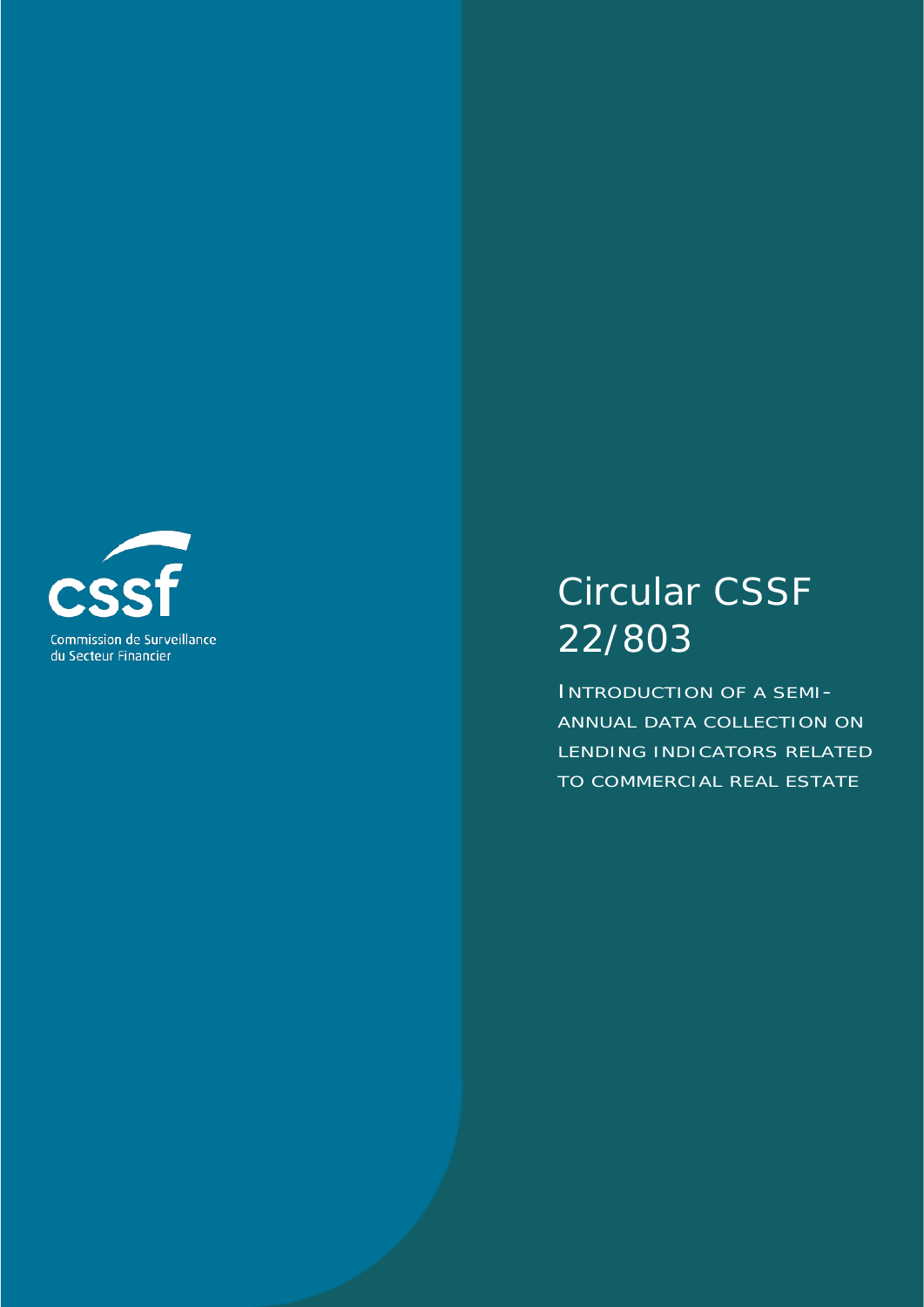

# Circular CSSF 22/803

INTRODUCTION OF A SEMI-ANNUAL DATA COLLECTION ON LENDING INDICATORS RELATED TO COMMERCIAL REAL ESTATE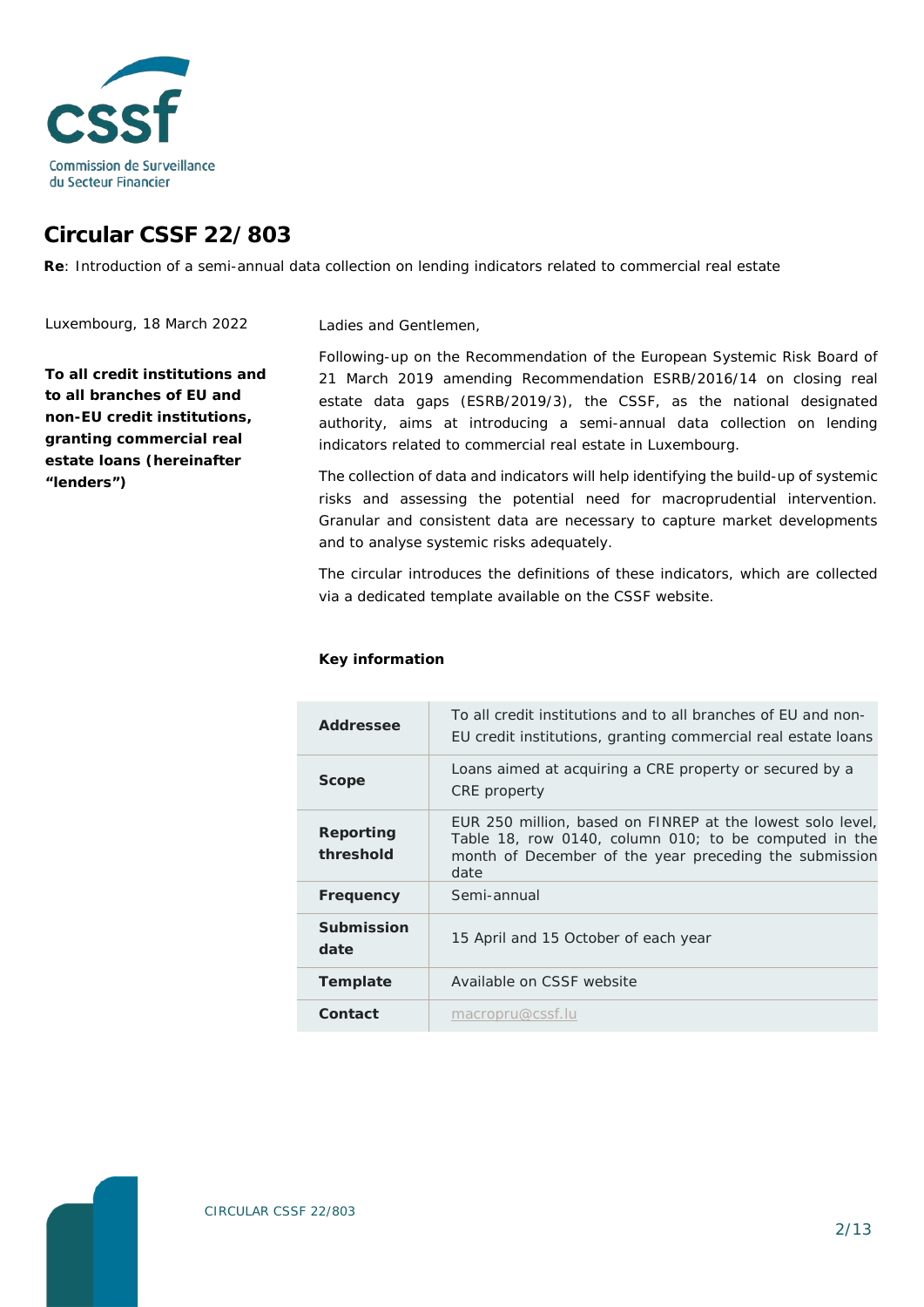

# **Circular CSSF 22/803**

**Re**: Introduction of a semi-annual data collection on lending indicators related to commercial real estate

Ladies and Gentlemen,

Luxembourg, 18 March 2022

**To all credit institutions and to all branches of EU and non-EU credit institutions, granting commercial real estate loans (hereinafter "lenders")**

Following-up on the [Recommendation of the European Systemic Risk Board of](https://www.esrb.europa.eu/pub/pdf/recommendations/esrb.recommendation190819_ESRB_2019-3%7E6690e1fbd3.en.pdf?48da91d8667998515d07d81c45ae7279)  21 [March 2019 amending Recommendation ESRB/2016/14 on closing real](https://www.esrb.europa.eu/pub/pdf/recommendations/esrb.recommendation190819_ESRB_2019-3%7E6690e1fbd3.en.pdf?48da91d8667998515d07d81c45ae7279)  [estate data gaps \(ESRB/2019/3\),](https://www.esrb.europa.eu/pub/pdf/recommendations/esrb.recommendation190819_ESRB_2019-3%7E6690e1fbd3.en.pdf?48da91d8667998515d07d81c45ae7279) the CSSF, as the national designated authority, aims at introducing a semi-annual data collection on lending indicators related to commercial real estate in Luxembourg.

The collection of data and indicators will help identifying the build-up of systemic risks and assessing the potential need for macroprudential intervention. Granular and consistent data are necessary to capture market developments and to analyse systemic risks adequately.

The circular introduces the definitions of these indicators, which are collected via a dedicated template available on the CSSF website.

#### **Key information**

| Addressee                 | To all credit institutions and to all branches of EU and non-<br>EU credit institutions, granting commercial real estate loans                                                        |
|---------------------------|---------------------------------------------------------------------------------------------------------------------------------------------------------------------------------------|
| <b>Scope</b>              | Loans aimed at acquiring a CRE property or secured by a<br>CRE property                                                                                                               |
| Reporting<br>threshold    | EUR 250 million, based on FINREP at the lowest solo level,<br>Table 18, row 0140, column 010; to be computed in the<br>month of December of the year preceding the submission<br>date |
| Frequency                 | Semi-annual                                                                                                                                                                           |
| <b>Submission</b><br>date | 15 April and 15 October of each year                                                                                                                                                  |
| Template                  | Available on CSSF website                                                                                                                                                             |
| Contact                   | macropru@cssf.lu                                                                                                                                                                      |

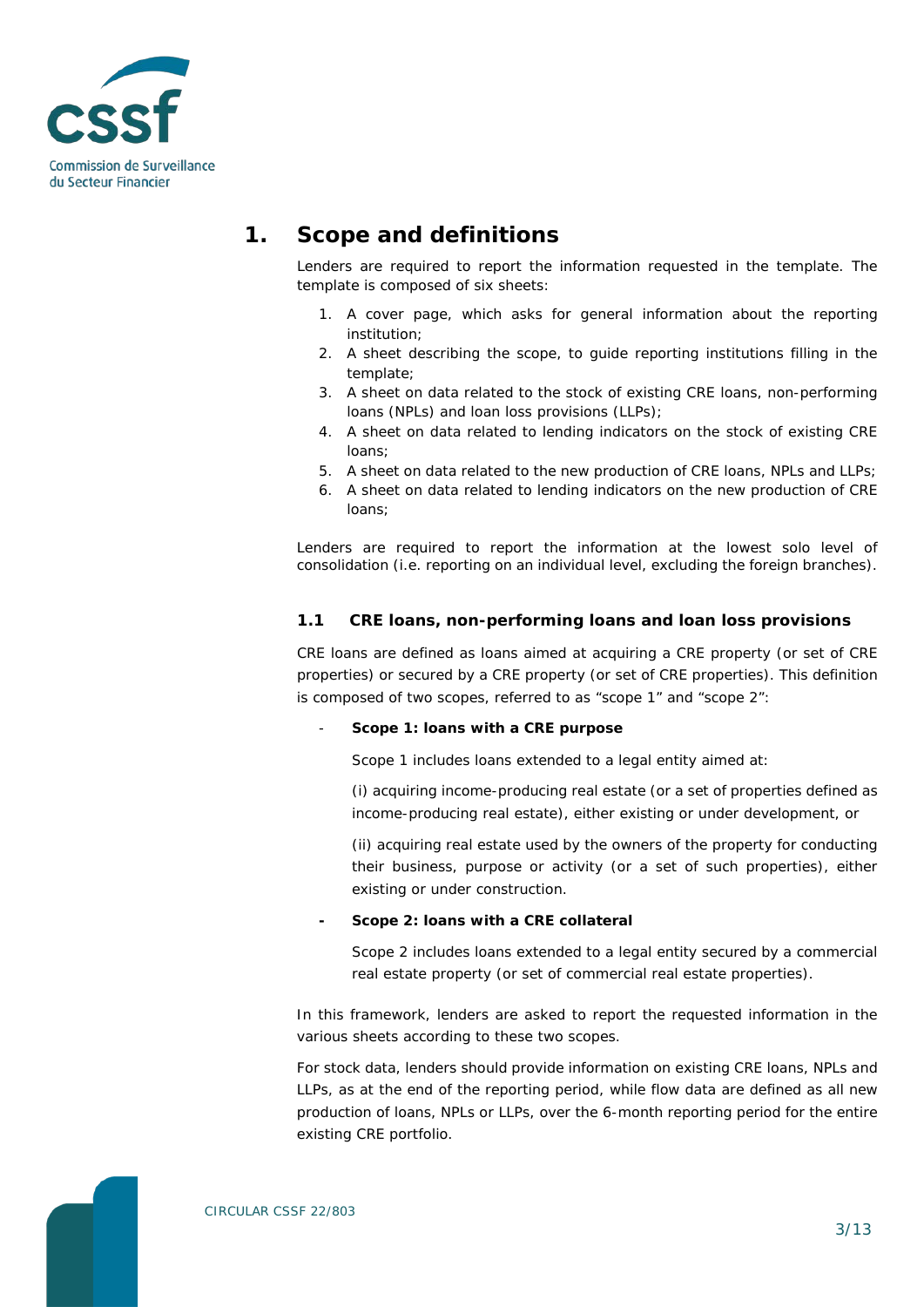

# **1. Scope and definitions**

Lenders are required to report the information requested in the template. The template is composed of six sheets:

- 1. A cover page, which asks for general information about the reporting institution;
- 2. A sheet describing the scope, to guide reporting institutions filling in the template;
- 3. A sheet on data related to the stock of existing CRE loans, non-performing loans (NPLs) and loan loss provisions (LLPs);
- 4. A sheet on data related to lending indicators on the stock of existing CRE loans;
- 5. A sheet on data related to the new production of CRE loans, NPLs and LLPs;
- 6. A sheet on data related to lending indicators on the new production of CRE loans;

Lenders are required to report the information at the lowest solo level of consolidation (i.e. reporting on an individual level, excluding the foreign branches).

### **1.1 CRE loans, non-performing loans and loan loss provisions**

CRE loans are defined as loans aimed at acquiring a CRE property (or set of CRE properties) or secured by a CRE property (or set of CRE properties). This definition is composed of two scopes, referred to as "scope 1" and "scope 2":

#### - **Scope 1: loans with a CRE purpose**

Scope 1 includes loans extended to a legal entity aimed at:

(i) acquiring income-producing real estate (or a set of properties defined as income-producing real estate), either existing or under development, or

(ii) acquiring real estate used by the owners of the property for conducting their business, purpose or activity (or a set of such properties), either existing or under construction.

#### **- Scope 2: loans with a CRE collateral**

Scope 2 includes loans extended to a legal entity secured by a commercial real estate property (or set of commercial real estate properties).

In this framework, lenders are asked to report the requested information in the various sheets according to these two scopes.

For stock data, lenders should provide information on existing CRE loans, NPLs and LLPs, as at the end of the reporting period, while flow data are defined as all new production of loans, NPLs or LLPs, over the 6-month reporting period for the entire existing CRE portfolio.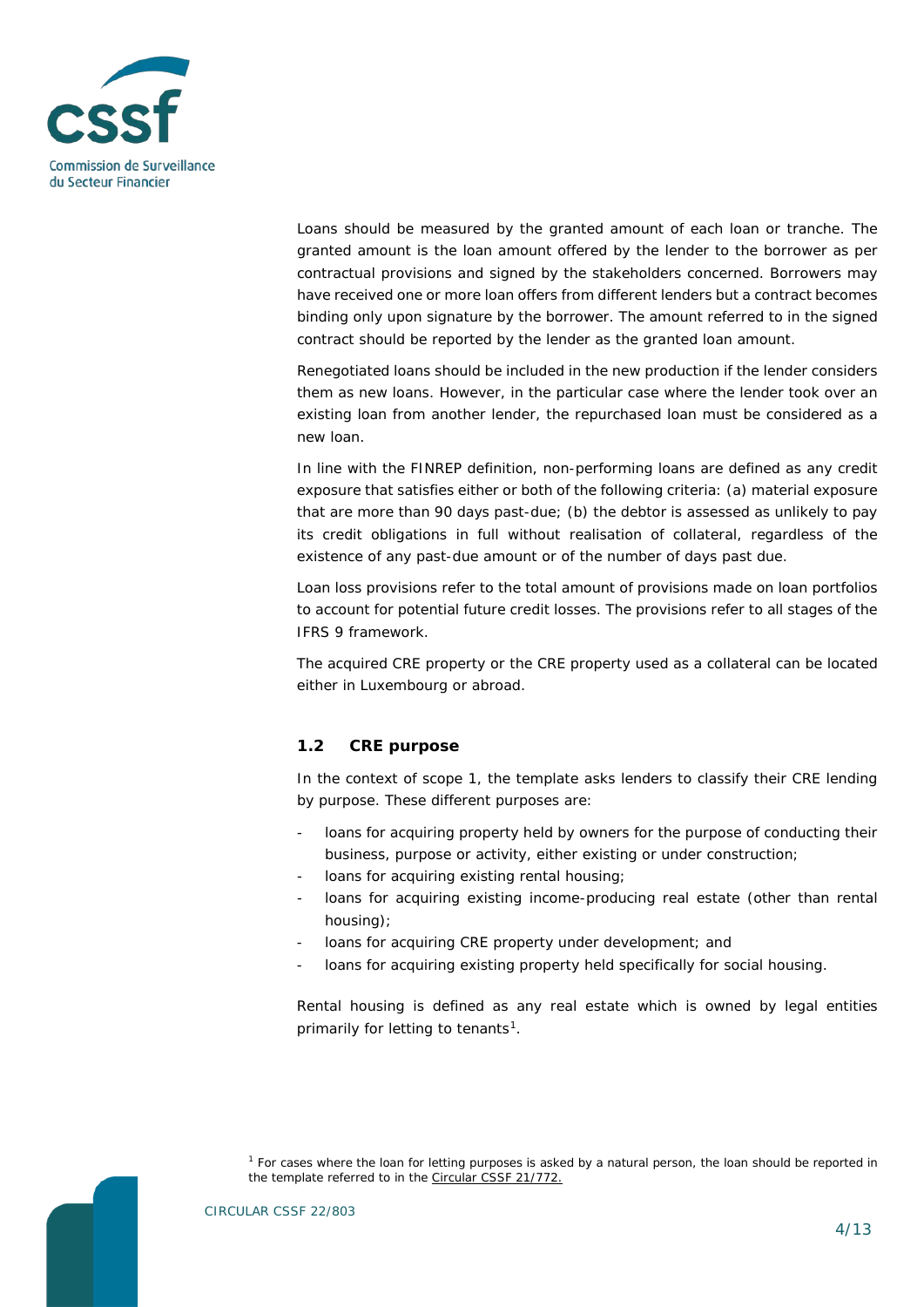

Loans should be measured by the granted amount of each loan or tranche. The granted amount is the loan amount offered by the lender to the borrower as per contractual provisions and signed by the stakeholders concerned. Borrowers may have received one or more loan offers from different lenders but a contract becomes binding only upon signature by the borrower. The amount referred to in the signed contract should be reported by the lender as the granted loan amount.

Renegotiated loans should be included in the new production if the lender considers them as new loans. However, in the particular case where the lender took over an existing loan from another lender, the repurchased loan must be considered as a new loan.

In line with the FINREP definition, non-performing loans are defined as any credit exposure that satisfies either or both of the following criteria: (a) material exposure that are more than 90 days past-due; (b) the debtor is assessed as unlikely to pay its credit obligations in full without realisation of collateral, regardless of the existence of any past-due amount or of the number of days past due.

Loan loss provisions refer to the total amount of provisions made on loan portfolios to account for potential future credit losses. The provisions refer to all stages of the IFRS 9 framework.

The acquired CRE property or the CRE property used as a collateral can be located either in Luxembourg or abroad.

# **1.2 CRE purpose**

In the context of scope 1, the template asks lenders to classify their CRE lending by purpose. These different purposes are:

- loans for acquiring property held by owners for the purpose of conducting their business, purpose or activity, either existing or under construction;
- loans for acquiring existing rental housing:
- loans for acquiring existing income-producing real estate (other than rental housing);
- loans for acquiring CRE property under development; and
- loans for acquiring existing property held specifically for social housing.

Rental housing is defined as any real estate which is owned by legal entities primarily for letting to tenants<sup>1</sup>.

<span id="page-3-0"></span>*<sup>1</sup> For cases where the loan for letting purposes is asked by a natural person, the loan should be reported in the template referred to in the [Circular CSSF 21/772.](https://www.cssf.lu/fr/Document/circulaire-cssf-18-703/)*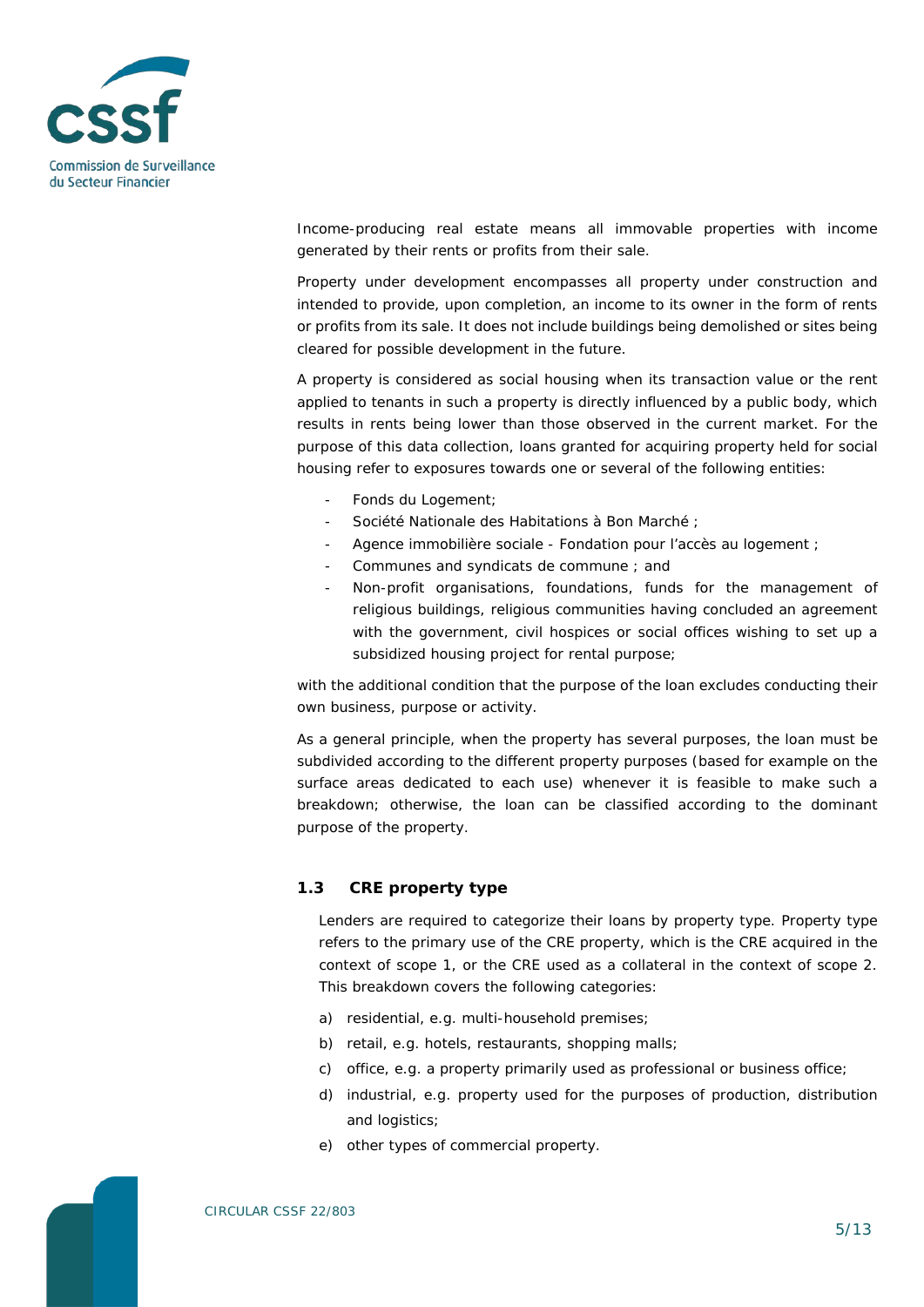

Income-producing real estate means all immovable properties with income generated by their rents or profits from their sale.

Property under development encompasses all property under construction and intended to provide, upon completion, an income to its owner in the form of rents or profits from its sale. It does not include buildings being demolished or sites being cleared for possible development in the future.

A property is considered as social housing when its transaction value or the rent applied to tenants in such a property is directly influenced by a public body, which results in rents being lower than those observed in the current market. For the purpose of this data collection, loans granted for acquiring property held for social housing refer to exposures towards one or several of the following entities:

- Fonds du Logement;
- Société Nationale des Habitations à Bon Marché ;
- Agence immobilière sociale Fondation pour l'accès au logement ;
- Communes and syndicats de commune ; and
- Non-profit organisations, foundations, funds for the management of religious buildings, religious communities having concluded an agreement with the government, civil hospices or social offices wishing to set up a subsidized housing project for rental purpose;

with the additional condition that the purpose of the loan excludes conducting their own business, purpose or activity.

As a general principle, when the property has several purposes, the loan must be subdivided according to the different property purposes (based for example on the surface areas dedicated to each use) whenever it is feasible to make such a breakdown; otherwise, the loan can be classified according to the dominant purpose of the property.

#### **1.3 CRE property type**

Lenders are required to categorize their loans by property type. Property type refers to the primary use of the CRE property, which is the CRE acquired in the context of scope 1, or the CRE used as a collateral in the context of scope 2. This breakdown covers the following categories:

- a) residential, e.g. multi-household premises;
- b) retail, e.g. hotels, restaurants, shopping malls;
- c) office, e.g. a property primarily used as professional or business office;
- d) industrial, e.g. property used for the purposes of production, distribution and logistics;
- e) other types of commercial property.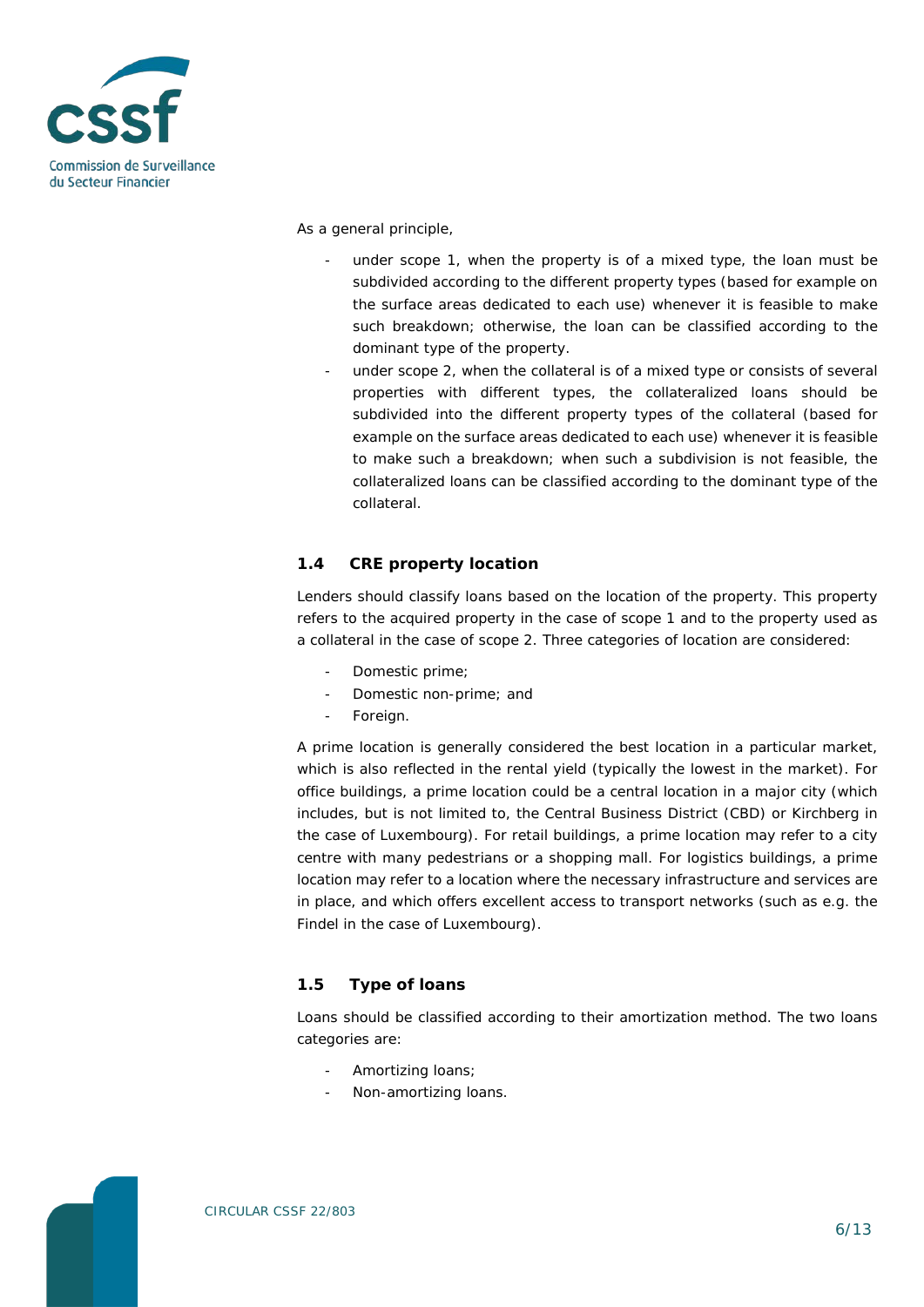

As a general principle,

- under scope 1, when the property is of a mixed type, the loan must be subdivided according to the different property types (based for example on the surface areas dedicated to each use) whenever it is feasible to make such breakdown; otherwise, the loan can be classified according to the dominant type of the property.
- under scope 2, when the collateral is of a mixed type or consists of several properties with different types, the collateralized loans should be subdivided into the different property types of the collateral (based for example on the surface areas dedicated to each use) whenever it is feasible to make such a breakdown; when such a subdivision is not feasible, the collateralized loans can be classified according to the dominant type of the collateral.

# **1.4 CRE property location**

Lenders should classify loans based on the location of the property. This property refers to the acquired property in the case of scope 1 and to the property used as a collateral in the case of scope 2. Three categories of location are considered:

- Domestic prime;
- Domestic non-prime; and
- Foreign.

A prime location is generally considered the best location in a particular market, which is also reflected in the rental yield (typically the lowest in the market). For office buildings, a prime location could be a central location in a major city (which includes, but is not limited to, the Central Business District (CBD) or Kirchberg in the case of Luxembourg). For retail buildings, a prime location may refer to a city centre with many pedestrians or a shopping mall. For logistics buildings, a prime location may refer to a location where the necessary infrastructure and services are in place, and which offers excellent access to transport networks (such as e.g. the Findel in the case of Luxembourg).

# **1.5 Type of loans**

Loans should be classified according to their amortization method. The two loans categories are:

- Amortizing loans;
- Non-amortizing loans.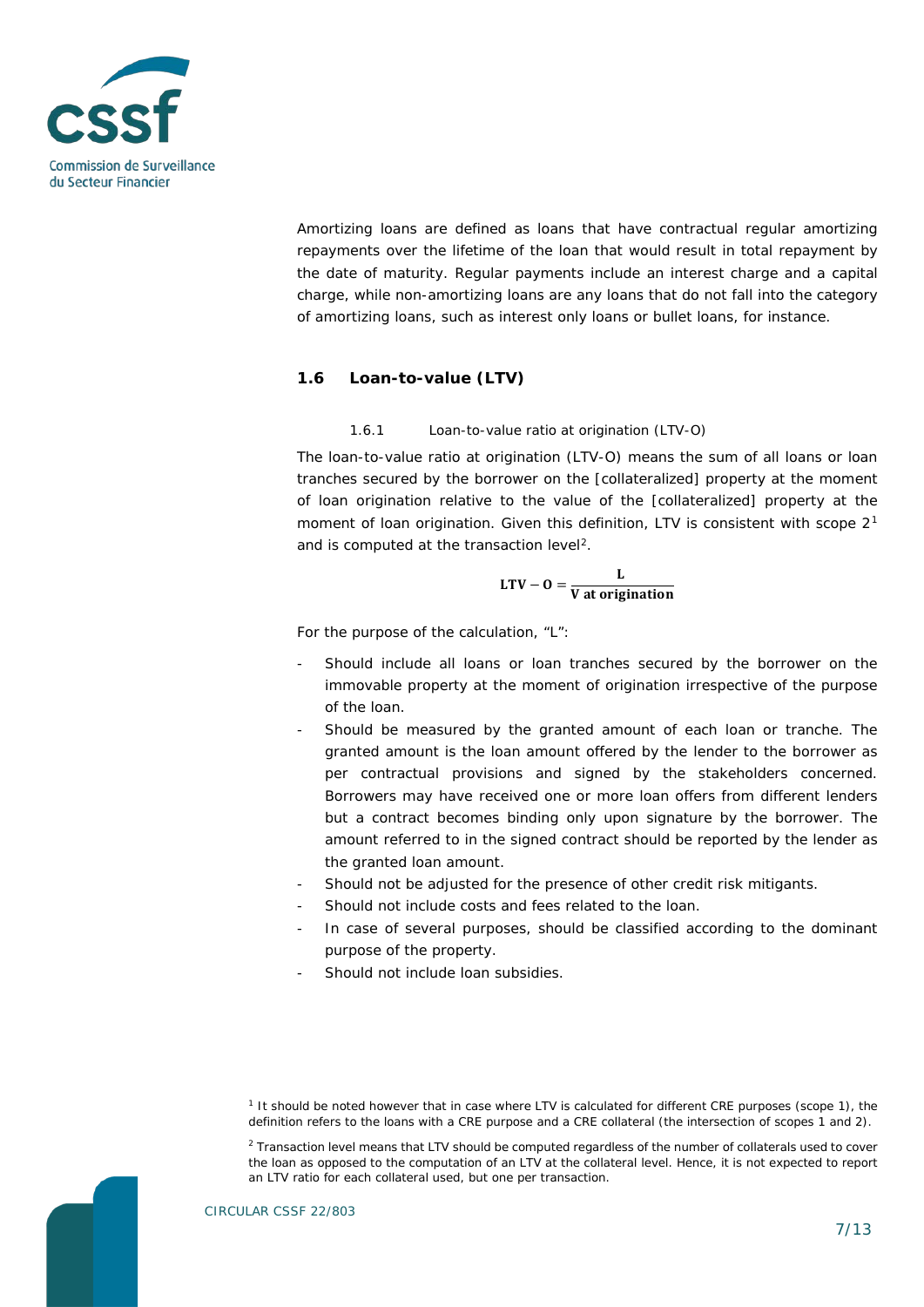

Amortizing loans are defined as loans that have contractual regular amortizing repayments over the lifetime of the loan that would result in total repayment by the date of maturity. Regular payments include an interest charge and a capital charge, while non-amortizing loans are any loans that do not fall into the category of amortizing loans, such as interest only loans or bullet loans, for instance.

# **1.6 Loan-to-value (LTV)**

#### 1.6.1 Loan-to-value ratio at origination (LTV-O)

The loan-to-value ratio at origination (LTV-O) means the sum of all loans or loan tranches secured by the borrower on the [collateralized] property at the moment of loan origination relative to the value of the [collateralized] property at the moment of loan origination. Given this definition, LTV is consistent with scope  $2<sup>1</sup>$  $2<sup>1</sup>$  $2<sup>1</sup>$ and is computed at the transaction level<sup>2</sup>.

$$
LTV - 0 = \frac{L}{V \text{ at origination}}
$$

For the purpose of the calculation, "L":

- Should include all loans or loan tranches secured by the borrower on the immovable property at the moment of origination irrespective of the purpose of the loan.
- Should be measured by the granted amount of each loan or tranche. The granted amount is the loan amount offered by the lender to the borrower as per contractual provisions and signed by the stakeholders concerned. Borrowers may have received one or more loan offers from different lenders but a contract becomes binding only upon signature by the borrower. The amount referred to in the signed contract should be reported by the lender as the granted loan amount.
- Should not be adjusted for the presence of other credit risk mitigants.
- Should not include costs and fees related to the loan.
- In case of several purposes, should be classified according to the dominant purpose of the property.
- Should not include loan subsidies.

<span id="page-6-1"></span><span id="page-6-0"></span>CIRCULAR CSSF 22/803

*<sup>1</sup> It should be noted however that in case where LTV is calculated for different CRE purposes (scope 1), the definition refers to the loans with a CRE purpose and a CRE collateral (the intersection of scopes 1 and 2).*

*<sup>2</sup> Transaction level means that LTV should be computed regardless of the number of collaterals used to cover*  the loan as opposed to the computation of an LTV at the collateral level. Hence, it is not expected to report *an LTV ratio for each collateral used, but one per transaction.*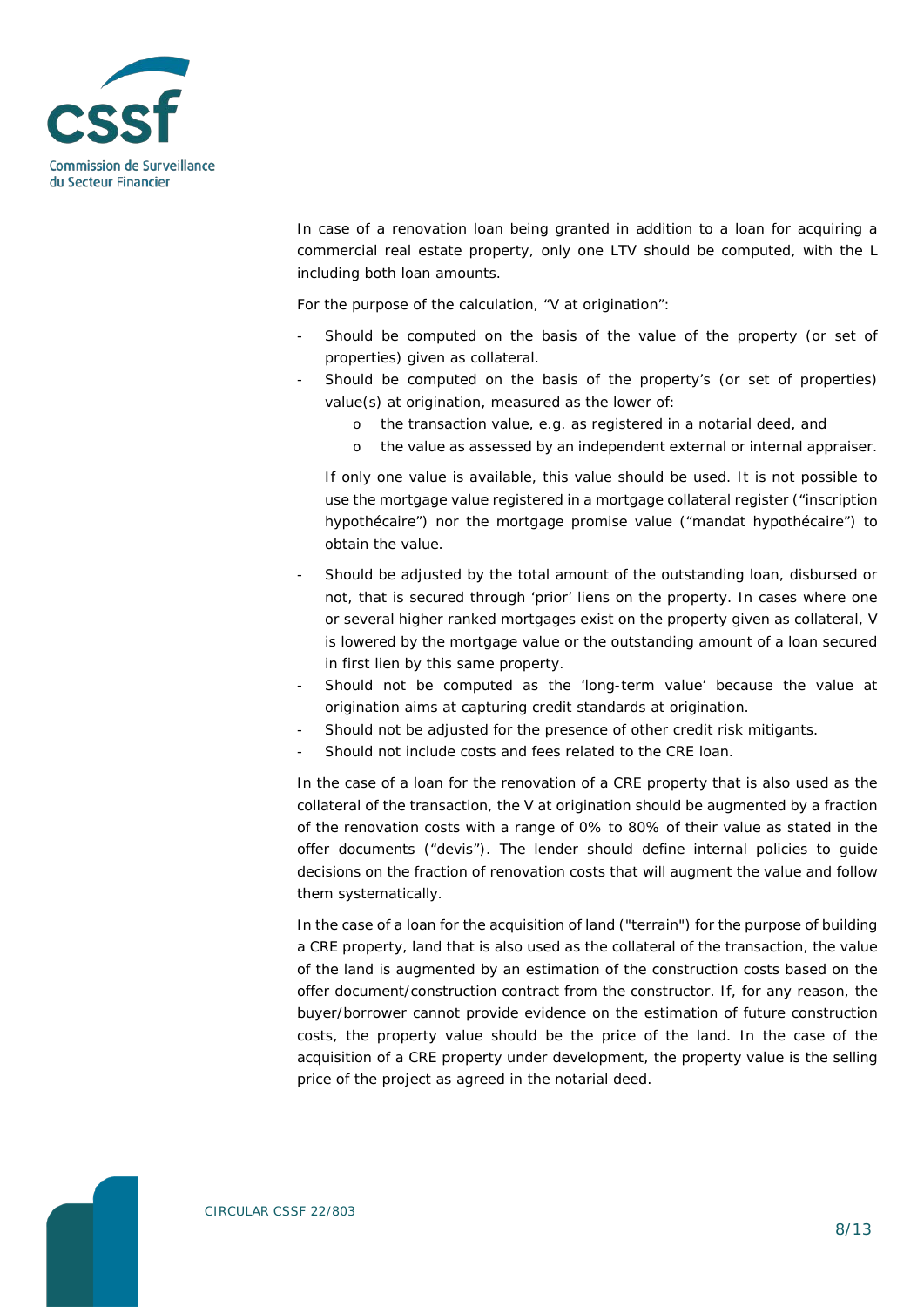

In case of a renovation loan being granted in addition to a loan for acquiring a commercial real estate property, only one LTV should be computed, with the L including both loan amounts.

For the purpose of the calculation, "V at origination":

- Should be computed on the basis of the value of the property (or set of properties) given as collateral.
- Should be computed on the basis of the property's (or set of properties) value(s) at origination, measured as the lower of:
	- o the transaction value, e.g. as registered in a notarial deed, and
	- o the value as assessed by an independent external or internal appraiser.

If only one value is available, this value should be used. It is not possible to use the mortgage value registered in a mortgage collateral register ("inscription hypothécaire") nor the mortgage promise value ("mandat hypothécaire") to obtain the value.

- Should be adjusted by the total amount of the outstanding loan, disbursed or not, that is secured through 'prior' liens on the property. In cases where one or several higher ranked mortgages exist on the property given as collateral, V is lowered by the mortgage value or the outstanding amount of a loan secured in first lien by this same property.
- Should not be computed as the 'long-term value' because the value at origination aims at capturing credit standards at origination.
- Should not be adjusted for the presence of other credit risk mitigants.
- Should not include costs and fees related to the CRE loan.

In the case of a loan for the renovation of a CRE property that is also used as the collateral of the transaction, the V at origination should be augmented by a fraction of the renovation costs with a range of 0% to 80% of their value as stated in the offer documents ("devis"). The lender should define internal policies to guide decisions on the fraction of renovation costs that will augment the value and follow them systematically.

In the case of a loan for the acquisition of land ("terrain") for the purpose of building a CRE property, land that is also used as the collateral of the transaction, the value of the land is augmented by an estimation of the construction costs based on the offer document/construction contract from the constructor. If, for any reason, the buyer/borrower cannot provide evidence on the estimation of future construction costs, the property value should be the price of the land. In the case of the acquisition of a CRE property under development, the property value is the selling price of the project as agreed in the notarial deed.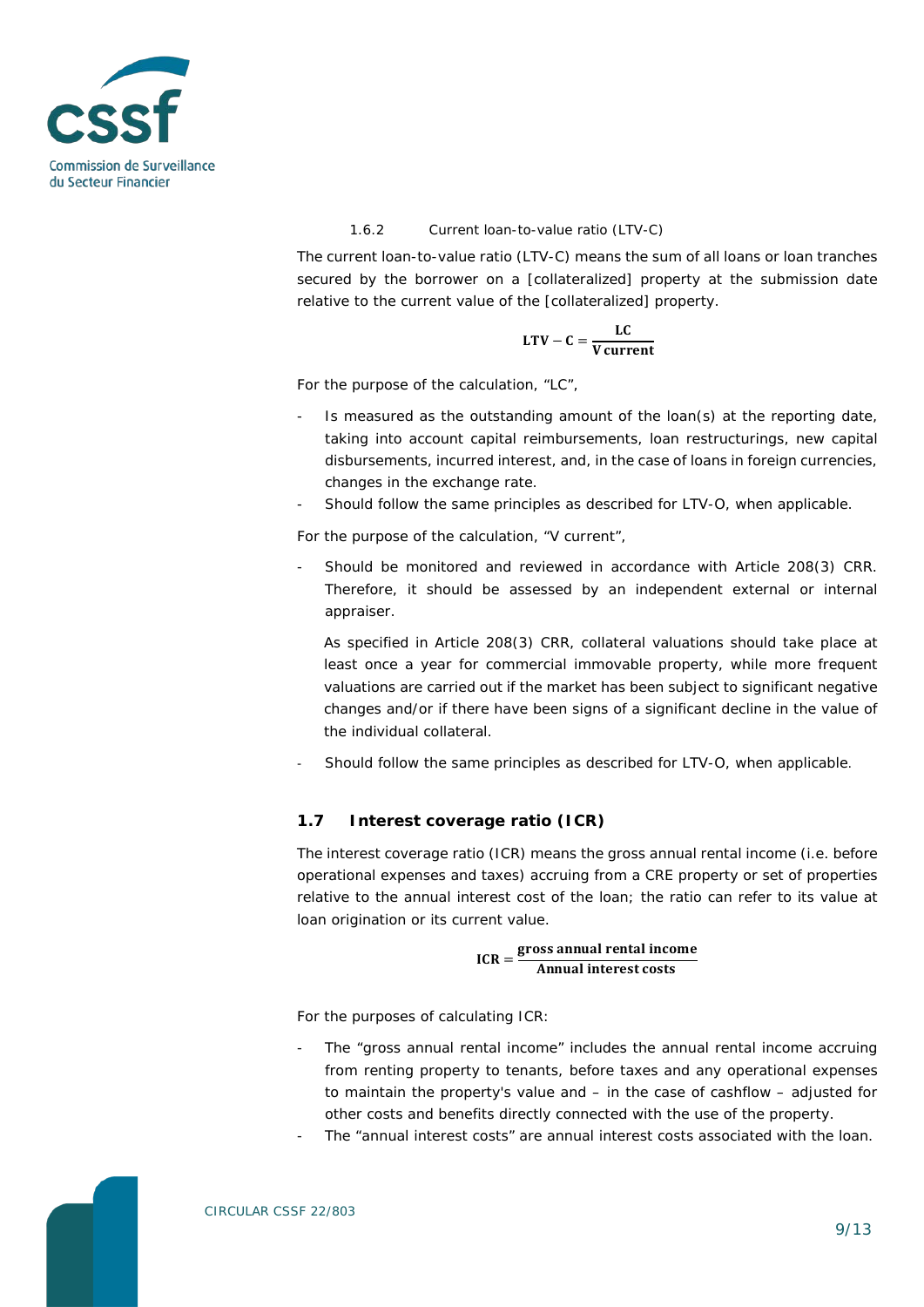

#### 1.6.2 Current loan-to-value ratio (LTV-C)

The current loan-to-value ratio (LTV-C) means the sum of all loans or loan tranches secured by the borrower on a [collateralized] property at the submission date relative to the current value of the [collateralized] property.

$$
LTV - C = \frac{LC}{V current}
$$

For the purpose of the calculation, "LC",

- Is measured as the outstanding amount of the loan(s) at the reporting date, taking into account capital reimbursements, loan restructurings, new capital disbursements, incurred interest, and, in the case of loans in foreign currencies, changes in the exchange rate.
- Should follow the same principles as described for LTV-O, when applicable.

For the purpose of the calculation, "V current",

- Should be monitored and reviewed in accordance with Article 208(3) CRR. Therefore, it should be assessed by an independent external or internal appraiser.

As specified in Article 208(3) CRR, collateral valuations should take place at least once a year for commercial immovable property, while more frequent valuations are carried out if the market has been subject to significant negative changes and/or if there have been signs of a significant decline in the value of the individual collateral.

Should follow the same principles as described for LTV-O, when applicable.

# **1.7 Interest coverage ratio (ICR)**

The interest coverage ratio (ICR) means the gross annual rental income (i.e. before operational expenses and taxes) accruing from a CRE property or set of properties relative to the annual interest cost of the loan; the ratio can refer to its value at loan origination or its current value.

$$
ICR = \frac{\text{gross annual rental income}}{\text{Annual interest costs}}
$$

For the purposes of calculating ICR:

- The "gross annual rental income" includes the annual rental income accruing from renting property to tenants, before taxes and any operational expenses to maintain the property's value and – in the case of cashflow – adjusted for other costs and benefits directly connected with the use of the property.
- The "annual interest costs" are annual interest costs associated with the loan.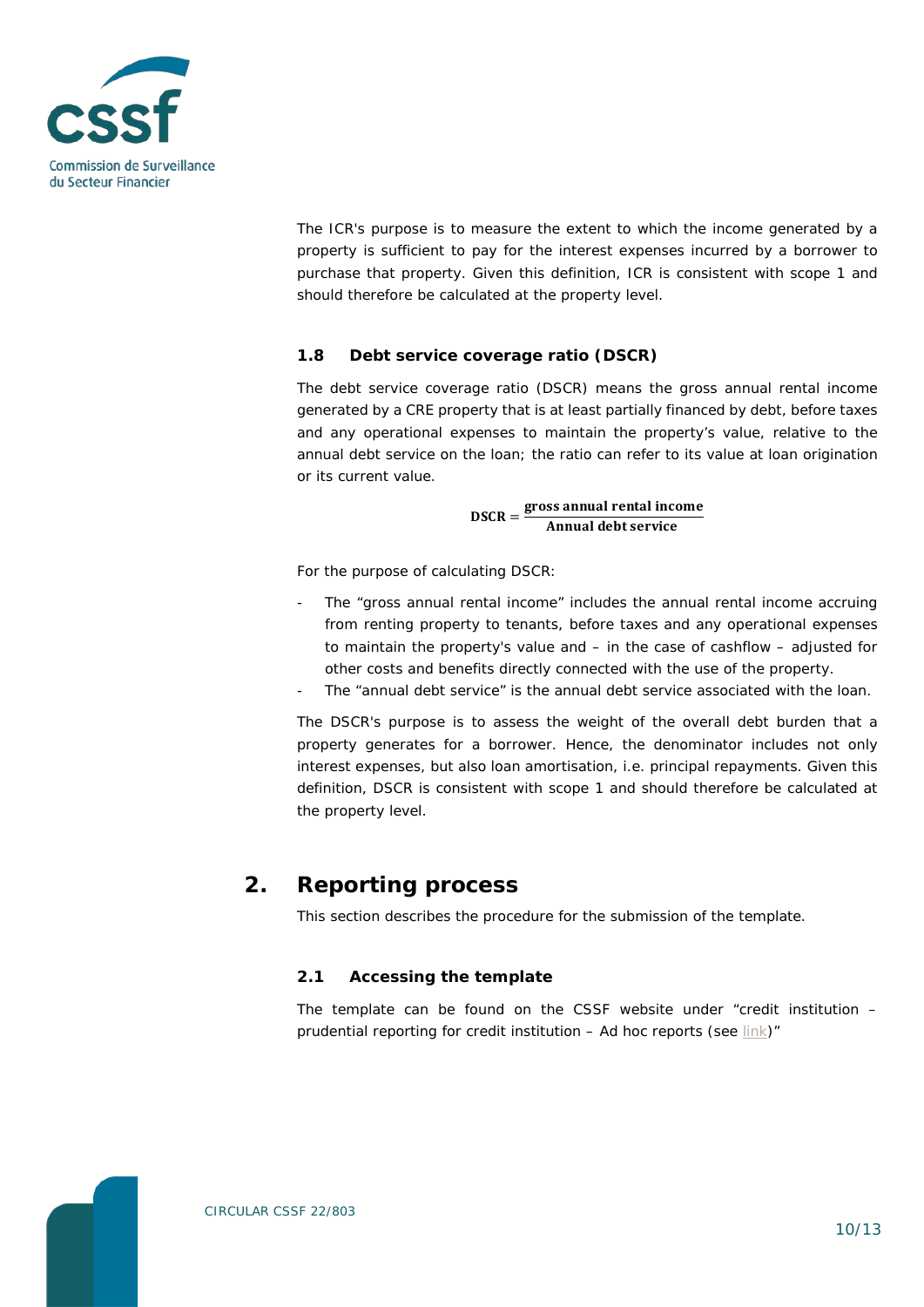

The ICR's purpose is to measure the extent to which the income generated by a property is sufficient to pay for the interest expenses incurred by a borrower to purchase that property. Given this definition, ICR is consistent with scope 1 and should therefore be calculated at the property level.

# **1.8 Debt service coverage ratio (DSCR)**

The debt service coverage ratio (DSCR) means the gross annual rental income generated by a CRE property that is at least partially financed by debt, before taxes and any operational expenses to maintain the property's value, relative to the annual debt service on the loan; the ratio can refer to its value at loan origination or its current value.

$$
DSCR = \frac{gross \, annual \,ental \, income}{Annual \, debt \, service}
$$

For the purpose of calculating DSCR:

- The "gross annual rental income" includes the annual rental income accruing from renting property to tenants, before taxes and any operational expenses to maintain the property's value and – in the case of cashflow – adjusted for other costs and benefits directly connected with the use of the property.
- The "annual debt service" is the annual debt service associated with the loan.

The DSCR's purpose is to assess the weight of the overall debt burden that a property generates for a borrower. Hence, the denominator includes not only interest expenses, but also loan amortisation, i.e. principal repayments. Given this definition, DSCR is consistent with scope 1 and should therefore be calculated at the property level.

# **2. Reporting process**

This section describes the procedure for the submission of the template.

# **2.1 Accessing the template**

The template can be found on the CSSF website under "credit institution – prudential reporting for credit institution – Ad hoc reports (see [link\)](https://www.cssf.lu/en/prudential-reporting-credit-institutions/#ad-hoc-reports)"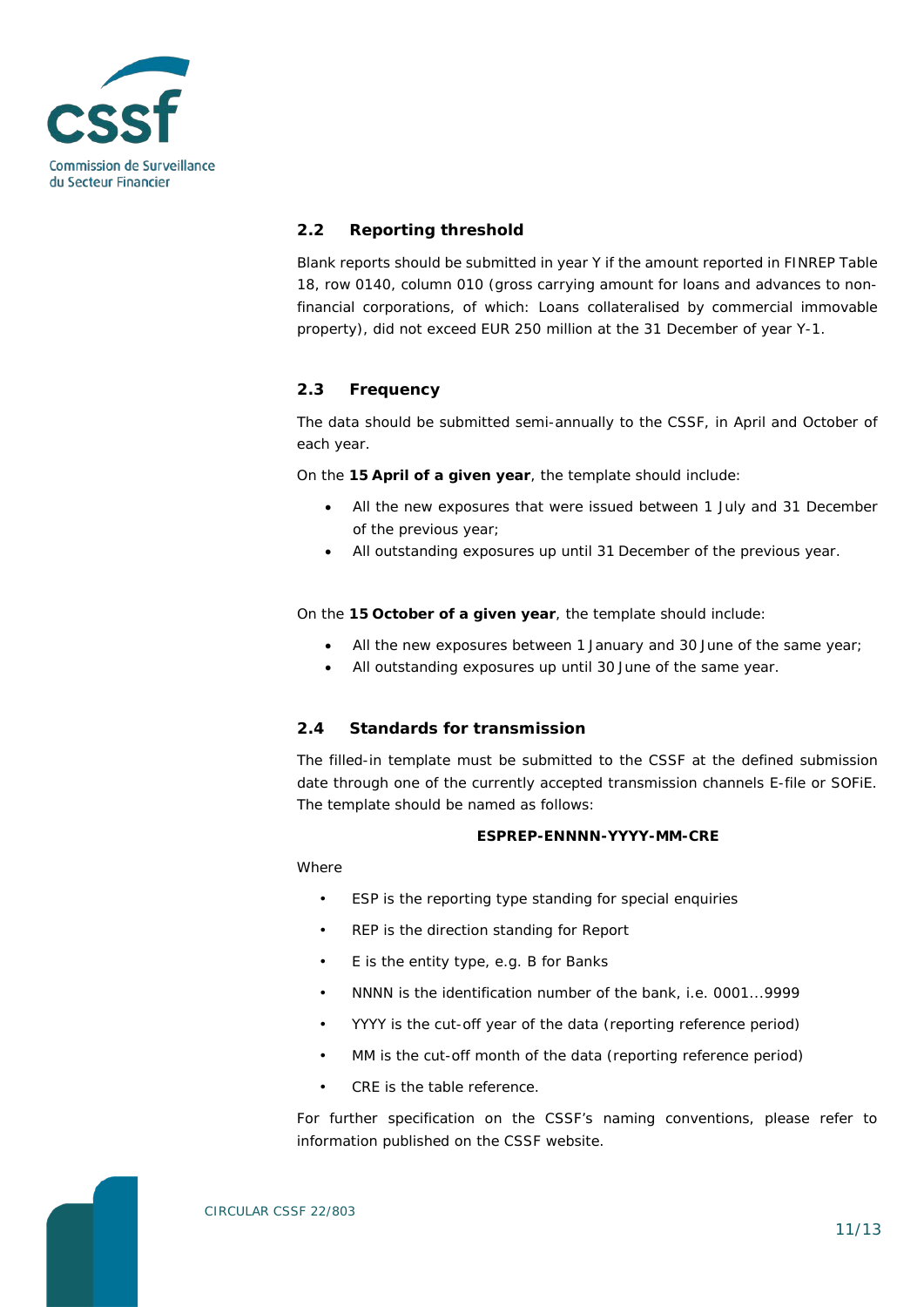

# **2.2 Reporting threshold**

Blank reports should be submitted in year Y if the amount reported in FINREP Table 18, row 0140, column 010 (*gross carrying amount for loans and advances to nonfinancial corporations, of which: Loans collateralised by commercial immovable property*), did not exceed EUR 250 million at the 31 December of year Y-1.

# **2.3 Frequency**

The data should be submitted semi-annually to the CSSF, in April and October of each year.

On the **15 April of a given year**, the template should include:

- All the new exposures that were issued between 1 July and 31 December of the previous year;
- All outstanding exposures up until 31 December of the previous year.

On the **15 October of a given year**, the template should include:

- All the new exposures between 1 January and 30 June of the same year;
- All outstanding exposures up until 30 June of the same year.

#### **2.4 Standards for transmission**

The filled-in template must be submitted to the CSSF at the defined submission date through one of the currently accepted transmission channels E-file or SOFiE. The template should be named as follows:

#### **ESPREP-ENNNN-YYYY-MM-CRE**

Where

- ESP is the reporting type standing for special enquiries
- REP is the direction standing for Report
- E is the entity type, e.g. B for Banks
- NNNN is the identification number of the bank, i.e. 0001...9999
- YYYY is the cut-off year of the data (reporting reference period)
- MM is the cut-off month of the data (reporting reference period)
- CRE is the table reference.

For further specification on the CSSF's naming conventions, please refer to information published on the CSSF website.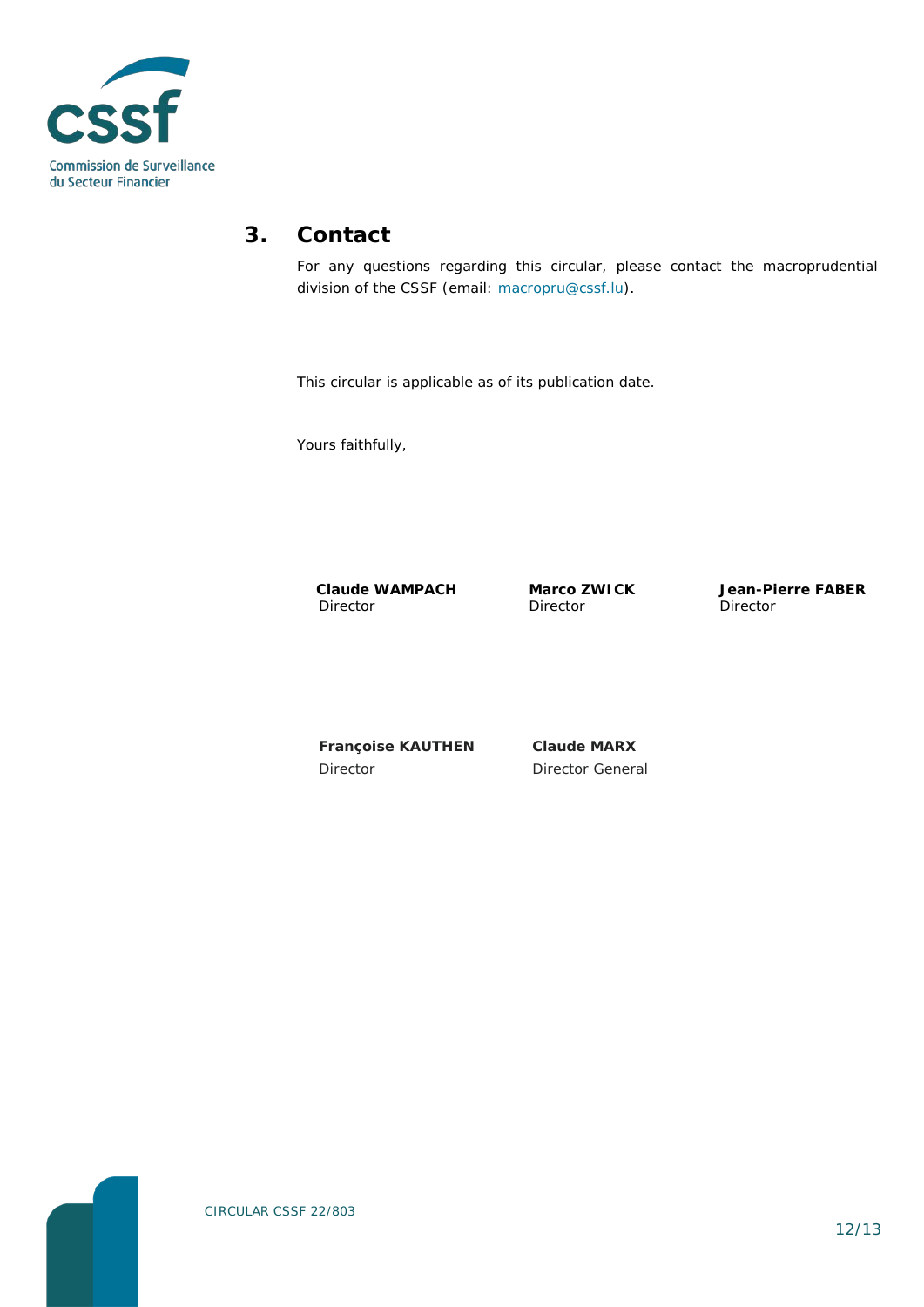

# **3. Contact**

For any questions regarding this circular, please contact the macroprudential division of the CSSF (email: [macropru@cssf.lu\)](mailto:macropru@cssf.lu).

This circular is applicable as of its publication date.

Yours faithfully,

**Claude WAMPACH** Director

**Marco ZWICK** Director

**Jean-Pierre FABER** Director

**Françoise KAUTHEN** Director

**Claude MARX** Director General